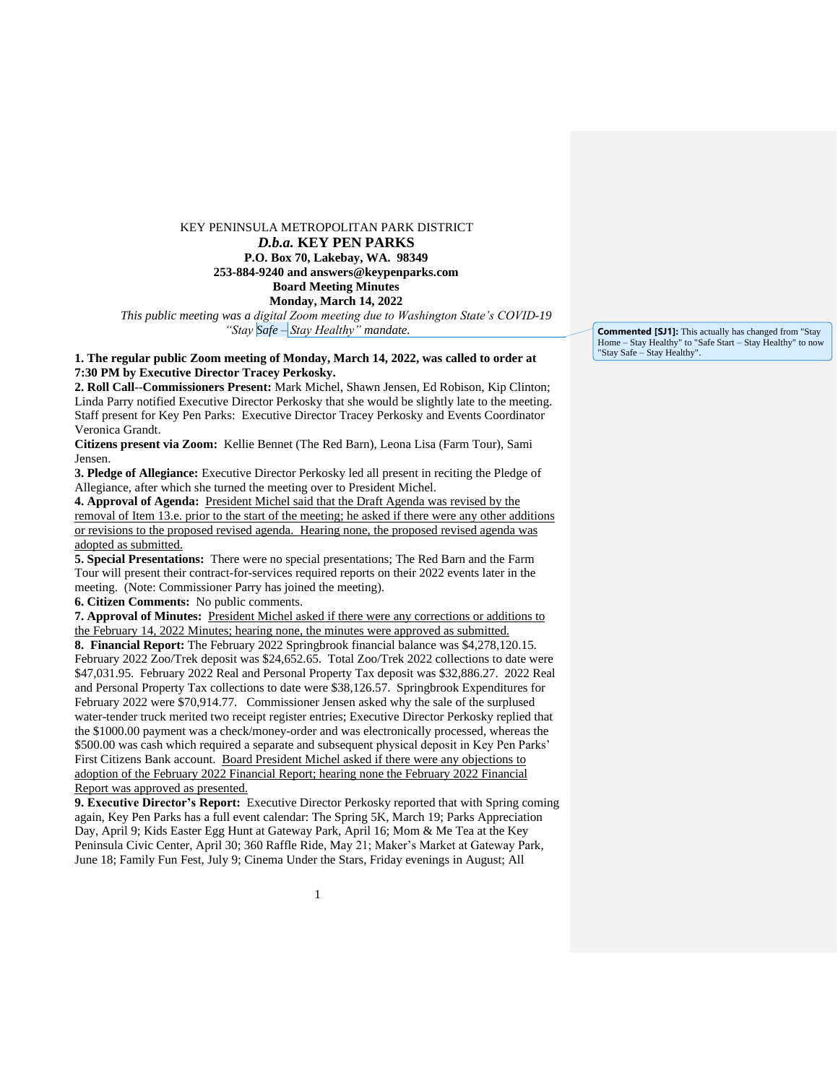## KEY PENINSULA METROPOLITAN PARK DISTRICT *D.b.a.* **KEY PEN PARKS P.O. Box 70, Lakebay, WA. 98349 253-884-9240 and answers@keypenparks.com Board Meeting Minutes Monday, March 14, 2022**

*This public meeting was a digital Zoom meeting due to Washington State's COVID-19 "Stay Safe – Stay Healthy" mandate.*

## **1. The regular public Zoom meeting of Monday, March 14, 2022, was called to order at 7:30 PM by Executive Director Tracey Perkosky.**

**2. Roll Call**--**Commissioners Present:** Mark Michel, Shawn Jensen, Ed Robison, Kip Clinton; Linda Parry notified Executive Director Perkosky that she would be slightly late to the meeting. Staff present for Key Pen Parks: Executive Director Tracey Perkosky and Events Coordinator Veronica Grandt.

**Citizens present via Zoom:** Kellie Bennet (The Red Barn), Leona Lisa (Farm Tour), Sami Jensen.

**3. Pledge of Allegiance:** Executive Director Perkosky led all present in reciting the Pledge of Allegiance, after which she turned the meeting over to President Michel.

**4. Approval of Agenda:** President Michel said that the Draft Agenda was revised by the removal of Item 13.e. prior to the start of the meeting; he asked if there were any other additions or revisions to the proposed revised agenda. Hearing none, the proposed revised agenda was adopted as submitted.

**5. Special Presentations:** There were no special presentations; The Red Barn and the Farm Tour will present their contract-for-services required reports on their 2022 events later in the meeting. (Note: Commissioner Parry has joined the meeting).

**6. Citizen Comments:** No public comments.

**7. Approval of Minutes:** President Michel asked if there were any corrections or additions to the February 14, 2022 Minutes; hearing none, the minutes were approved as submitted.

**8. Financial Report:** The February 2022 Springbrook financial balance was \$4,278,120.15. February 2022 Zoo/Trek deposit was \$24,652.65. Total Zoo/Trek 2022 collections to date were \$47,031.95. February 2022 Real and Personal Property Tax deposit was \$32,886.27. 2022 Real and Personal Property Tax collections to date were \$38,126.57. Springbrook Expenditures for February 2022 were \$70,914.77. Commissioner Jensen asked why the sale of the surplused water-tender truck merited two receipt register entries; Executive Director Perkosky replied that the \$1000.00 payment was a check/money-order and was electronically processed, whereas the \$500.00 was cash which required a separate and subsequent physical deposit in Key Pen Parks' First Citizens Bank account. Board President Michel asked if there were any objections to adoption of the February 2022 Financial Report; hearing none the February 2022 Financial Report was approved as presented.

**9. Executive Director's Report:** Executive Director Perkosky reported that with Spring coming again, Key Pen Parks has a full event calendar: The Spring 5K, March 19; Parks Appreciation Day, April 9; Kids Easter Egg Hunt at Gateway Park, April 16; Mom & Me Tea at the Key Peninsula Civic Center, April 30; 360 Raffle Ride, May 21; Maker's Market at Gateway Park, June 18; Family Fun Fest, July 9; Cinema Under the Stars, Friday evenings in August; All

**Commented [SJ1]:** This actually has changed from "Stay Home – Stay Healthy" to "Safe Start – Stay Healthy" to now "Stay Safe – Stay Healthy".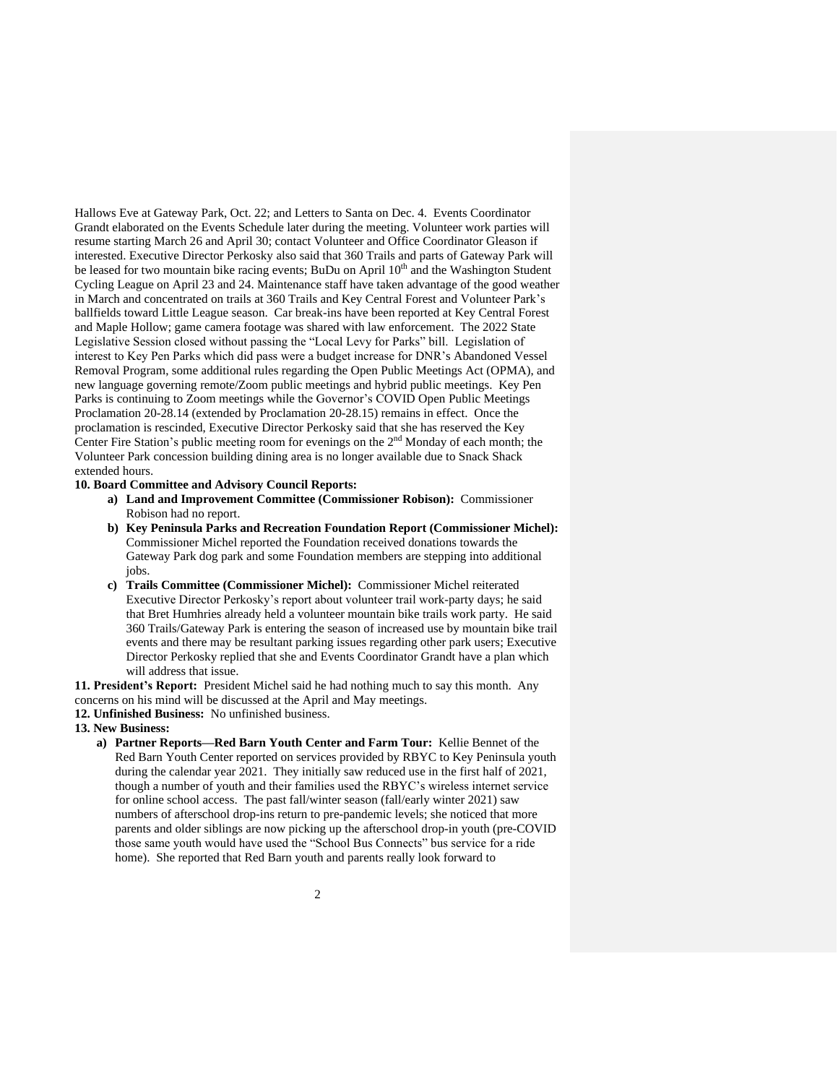Hallows Eve at Gateway Park, Oct. 22; and Letters to Santa on Dec. 4. Events Coordinator Grandt elaborated on the Events Schedule later during the meeting. Volunteer work parties will resume starting March 26 and April 30; contact Volunteer and Office Coordinator Gleason if interested. Executive Director Perkosky also said that 360 Trails and parts of Gateway Park will be leased for two mountain bike racing events; BuDu on April 10<sup>th</sup> and the Washington Student Cycling League on April 23 and 24. Maintenance staff have taken advantage of the good weather in March and concentrated on trails at 360 Trails and Key Central Forest and Volunteer Park's ballfields toward Little League season. Car break-ins have been reported at Key Central Forest and Maple Hollow; game camera footage was shared with law enforcement. The 2022 State Legislative Session closed without passing the "Local Levy for Parks" bill. Legislation of interest to Key Pen Parks which did pass were a budget increase for DNR's Abandoned Vessel Removal Program, some additional rules regarding the Open Public Meetings Act (OPMA), and new language governing remote/Zoom public meetings and hybrid public meetings. Key Pen Parks is continuing to Zoom meetings while the Governor's COVID Open Public Meetings Proclamation 20-28.14 (extended by Proclamation 20-28.15) remains in effect. Once the proclamation is rescinded, Executive Director Perkosky said that she has reserved the Key Center Fire Station's public meeting room for evenings on the 2nd Monday of each month; the Volunteer Park concession building dining area is no longer available due to Snack Shack extended hours.

## **10. Board Committee and Advisory Council Reports:**

- **a) Land and Improvement Committee (Commissioner Robison):** Commissioner Robison had no report.
- **b) Key Peninsula Parks and Recreation Foundation Report (Commissioner Michel):** Commissioner Michel reported the Foundation received donations towards the Gateway Park dog park and some Foundation members are stepping into additional iobs.
- **c) Trails Committee (Commissioner Michel):** Commissioner Michel reiterated Executive Director Perkosky's report about volunteer trail work-party days; he said that Bret Humhries already held a volunteer mountain bike trails work party. He said 360 Trails/Gateway Park is entering the season of increased use by mountain bike trail events and there may be resultant parking issues regarding other park users; Executive Director Perkosky replied that she and Events Coordinator Grandt have a plan which will address that issue.

**11. President's Report:** President Michel said he had nothing much to say this month. Any concerns on his mind will be discussed at the April and May meetings.

- **12. Unfinished Business:** No unfinished business.
- **13. New Business:**
	- **a) Partner Reports—Red Barn Youth Center and Farm Tour:** Kellie Bennet of the Red Barn Youth Center reported on services provided by RBYC to Key Peninsula youth during the calendar year 2021. They initially saw reduced use in the first half of 2021, though a number of youth and their families used the RBYC's wireless internet service for online school access. The past fall/winter season (fall/early winter 2021) saw numbers of afterschool drop-ins return to pre-pandemic levels; she noticed that more parents and older siblings are now picking up the afterschool drop-in youth (pre-COVID those same youth would have used the "School Bus Connects" bus service for a ride home). She reported that Red Barn youth and parents really look forward to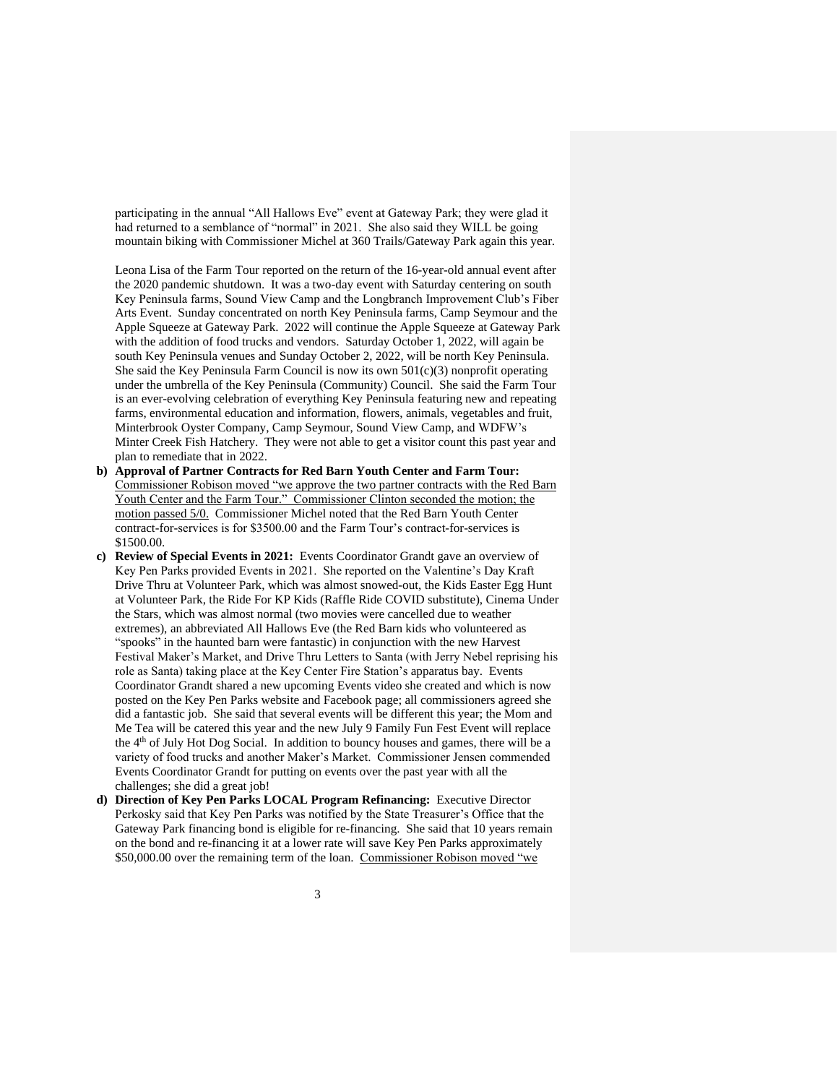participating in the annual "All Hallows Eve" event at Gateway Park; they were glad it had returned to a semblance of "normal" in 2021. She also said they WILL be going mountain biking with Commissioner Michel at 360 Trails/Gateway Park again this year.

Leona Lisa of the Farm Tour reported on the return of the 16-year-old annual event after the 2020 pandemic shutdown. It was a two-day event with Saturday centering on south Key Peninsula farms, Sound View Camp and the Longbranch Improvement Club's Fiber Arts Event. Sunday concentrated on north Key Peninsula farms, Camp Seymour and the Apple Squeeze at Gateway Park. 2022 will continue the Apple Squeeze at Gateway Park with the addition of food trucks and vendors. Saturday October 1, 2022, will again be south Key Peninsula venues and Sunday October 2, 2022, will be north Key Peninsula. She said the Key Peninsula Farm Council is now its own 501(c)(3) nonprofit operating under the umbrella of the Key Peninsula (Community) Council. She said the Farm Tour is an ever-evolving celebration of everything Key Peninsula featuring new and repeating farms, environmental education and information, flowers, animals, vegetables and fruit, Minterbrook Oyster Company, Camp Seymour, Sound View Camp, and WDFW's Minter Creek Fish Hatchery. They were not able to get a visitor count this past year and plan to remediate that in 2022.

- **b) Approval of Partner Contracts for Red Barn Youth Center and Farm Tour:** Commissioner Robison moved "we approve the two partner contracts with the Red Barn Youth Center and the Farm Tour." Commissioner Clinton seconded the motion; the motion passed 5/0. Commissioner Michel noted that the Red Barn Youth Center contract-for-services is for \$3500.00 and the Farm Tour's contract-for-services is \$1500.00.
- **c) Review of Special Events in 2021:** Events Coordinator Grandt gave an overview of Key Pen Parks provided Events in 2021. She reported on the Valentine's Day Kraft Drive Thru at Volunteer Park, which was almost snowed-out, the Kids Easter Egg Hunt at Volunteer Park, the Ride For KP Kids (Raffle Ride COVID substitute), Cinema Under the Stars, which was almost normal (two movies were cancelled due to weather extremes), an abbreviated All Hallows Eve (the Red Barn kids who volunteered as "spooks" in the haunted barn were fantastic) in conjunction with the new Harvest Festival Maker's Market, and Drive Thru Letters to Santa (with Jerry Nebel reprising his role as Santa) taking place at the Key Center Fire Station's apparatus bay. Events Coordinator Grandt shared a new upcoming Events video she created and which is now posted on the Key Pen Parks website and Facebook page; all commissioners agreed she did a fantastic job. She said that several events will be different this year; the Mom and Me Tea will be catered this year and the new July 9 Family Fun Fest Event will replace the 4<sup>th</sup> of July Hot Dog Social. In addition to bouncy houses and games, there will be a variety of food trucks and another Maker's Market. Commissioner Jensen commended Events Coordinator Grandt for putting on events over the past year with all the challenges; she did a great job!
- **d) Direction of Key Pen Parks LOCAL Program Refinancing:** Executive Director Perkosky said that Key Pen Parks was notified by the State Treasurer's Office that the Gateway Park financing bond is eligible for re-financing. She said that 10 years remain on the bond and re-financing it at a lower rate will save Key Pen Parks approximately \$50,000.00 over the remaining term of the loan. Commissioner Robison moved "we